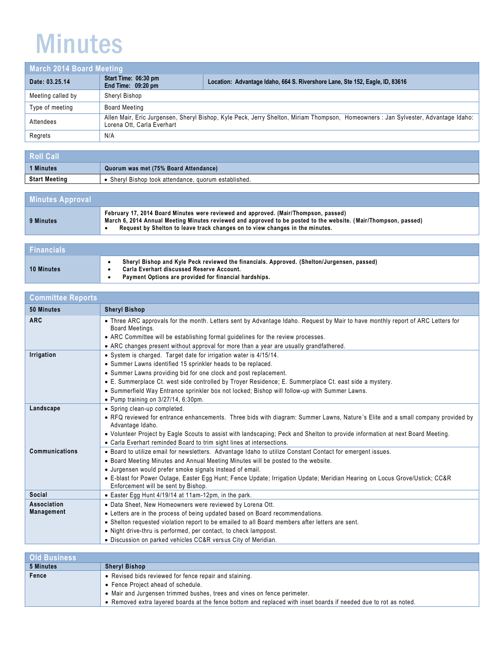## Minutes

| March 2014 Board Meeting |                                            |                                                                                                                                   |
|--------------------------|--------------------------------------------|-----------------------------------------------------------------------------------------------------------------------------------|
| Date: 03.25.14           | Start Time: 06:30 pm<br>End Time: 09:20 pm | Location: Advantage Idaho, 664 S. Rivershore Lane, Ste 152, Eagle, ID, 83616                                                      |
| Meeting called by        | Sheryl Bishop                              |                                                                                                                                   |
| Type of meeting          | Board Meeting                              |                                                                                                                                   |
| Attendees                | Lorena Ott. Carla Everhart                 | Allen Mair, Eric Jurgensen, Sheryl Bishop, Kyle Peck, Jerry Shelton, Miriam Thompson, Homeowners: Jan Sylvester, Advantage Idaho: |
| Regrets                  | N/A                                        |                                                                                                                                   |

| Roll Call            |                                                    |
|----------------------|----------------------------------------------------|
| <b>Minutes</b>       | Quorum was met (75% Board Attendance)              |
| <b>Start Meeting</b> | Sheryl Bishop took attendance, quorum established. |

| <b>Minutes Approval</b> |                                                                                                                                                                                                                                                                                        |
|-------------------------|----------------------------------------------------------------------------------------------------------------------------------------------------------------------------------------------------------------------------------------------------------------------------------------|
| 9 Minutes               | February 17, 2014 Board Minutes were reviewed and approved. (Mair/Thompson, passed)<br>March 6, 2014 Annual Meeting Minutes reviewed and approved to be posted to the website. (Mair/Thompson, passed)<br>Request by Shelton to leave track changes on to view changes in the minutes. |

| <b>Financials</b> |                                                                                                                                                                                                  |
|-------------------|--------------------------------------------------------------------------------------------------------------------------------------------------------------------------------------------------|
| <b>10 Minutes</b> | Sheryl Bishop and Kyle Peck reviewed the financials. Approved. (Shelton/Jurgensen, passed)<br>Carla Everhart discussed Reserve Account.<br>Payment Options are provided for financial hardships. |

| <b>Committee Reports</b>         |                                                                                                                                                                                                                                                                                                                                                                                                                                                               |
|----------------------------------|---------------------------------------------------------------------------------------------------------------------------------------------------------------------------------------------------------------------------------------------------------------------------------------------------------------------------------------------------------------------------------------------------------------------------------------------------------------|
| 50 Minutes                       | <b>Sheryl Bishop</b>                                                                                                                                                                                                                                                                                                                                                                                                                                          |
| <b>ARC</b>                       | • Three ARC approvals for the month. Letters sent by Advantage Idaho. Request by Mair to have monthly report of ARC Letters for<br>Board Meetings.<br>• ARC Committee will be establishing formal guidelines for the review processes.<br>• ARC changes present without approval for more than a year are usually grandfathered.                                                                                                                              |
| Irrigation                       | • System is charged. Target date for irrigation water is 4/15/14.<br>• Summer Lawns identified 15 sprinkler heads to be replaced.<br>• Summer Lawns providing bid for one clock and post replacement.<br>• E. Summerplace Ct. west side controlled by Troyer Residence; E. Summerplace Ct. east side a mystery.<br>• Summerfield Way Entrance sprinkler box not locked; Bishop will follow-up with Summer Lawns.<br>• Pump training on $3/27/14$ , $6:30$ pm. |
| Landscape                        | • Spring clean-up completed.<br>• RFQ reviewed for entrance enhancements. Three bids with diagram: Summer Lawns, Nature's Elite and a small company provided by<br>Advantage Idaho.<br>. Volunteer Project by Eagle Scouts to assist with landscaping; Peck and Shelton to provide information at next Board Meeting.<br>• Carla Everhart reminded Board to trim sight lines at intersections.                                                                |
| Communications                   | • Board to utilize email for newsletters. Advantage Idaho to utilize Constant Contact for emergent issues.<br>• Board Meeting Minutes and Annual Meeting Minutes will be posted to the website.<br>• Jurgensen would prefer smoke signals instead of email.<br>• E-blast for Power Outage, Easter Egg Hunt; Fence Update; Irrigation Update; Meridian Hearing on Locus Grove/Ustick; CC&R<br>Enforcement will be sent by Bishop.                              |
| Social                           | • Easter Egg Hunt 4/19/14 at 11am-12pm, in the park.                                                                                                                                                                                                                                                                                                                                                                                                          |
| Association<br><b>Management</b> | • Data Sheet, New Homeowners were reviewed by Lorena Ott.<br>• Letters are in the process of being updated based on Board recommendations.<br>• Shelton requested violation report to be emailed to all Board members after letters are sent.<br>• Night drive-thru is performed, per contact, to check lamppost.<br>• Discussion on parked vehicles CC&R versus City of Meridian.                                                                            |

| <b>Old Business</b> |                                                                                                                  |
|---------------------|------------------------------------------------------------------------------------------------------------------|
| 5 Minutes           | <b>Sheryl Bishop</b>                                                                                             |
| Fence               | • Revised bids reviewed for fence repair and staining.                                                           |
|                     | • Fence Project ahead of schedule.                                                                               |
|                     | • Mair and Jurgensen trimmed bushes, trees and vines on fence perimeter.                                         |
|                     | • Removed extra layered boards at the fence bottom and replaced with inset boards if needed due to rot as noted. |